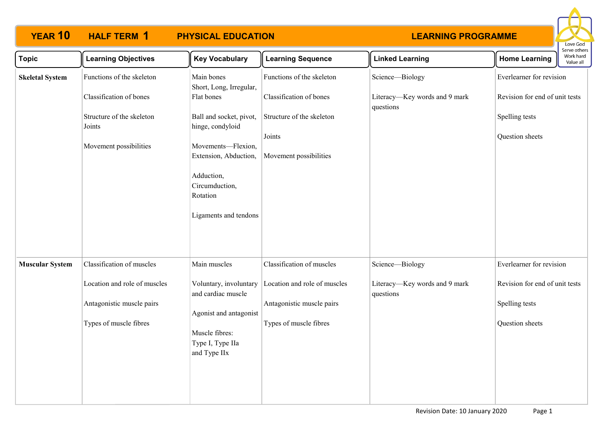| <b>YEAR 10</b>         | <b>HALF TERM 1</b>                                                                                               | <b>PHYSICAL EDUCATION</b>                                                                                                                    |                                                                                                                  | <b>LEARNING PROGRAMME</b>                                     |                                                                                                 | Love God                               |
|------------------------|------------------------------------------------------------------------------------------------------------------|----------------------------------------------------------------------------------------------------------------------------------------------|------------------------------------------------------------------------------------------------------------------|---------------------------------------------------------------|-------------------------------------------------------------------------------------------------|----------------------------------------|
| <b>Topic</b>           | <b>Learning Objectives</b>                                                                                       | <b>Key Vocabulary</b>                                                                                                                        | <b>Learning Sequence</b>                                                                                         | <b>Linked Learning</b>                                        | <b>Home Learning</b>                                                                            | Serve others<br>Work hard<br>Value all |
| <b>Skeletal System</b> | Functions of the skeleton                                                                                        | Main bones<br>Short, Long, Irregular,                                                                                                        | Functions of the skeleton                                                                                        | Science-Biology                                               | Everlearner for revision                                                                        |                                        |
|                        | Classification of bones                                                                                          | Flat bones                                                                                                                                   | Classification of bones                                                                                          | Literacy-Key words and 9 mark<br>questions                    | Revision for end of unit tests                                                                  |                                        |
|                        | Structure of the skeleton<br>Joints                                                                              | Ball and socket, pivot,<br>hinge, condyloid                                                                                                  | Structure of the skeleton<br>Joints                                                                              |                                                               | Spelling tests<br>Question sheets                                                               |                                        |
|                        | Movement possibilities                                                                                           | Movements-Flexion,<br>Extension, Abduction,<br>Adduction,<br>Circumduction,<br>Rotation<br>Ligaments and tendons                             | Movement possibilities                                                                                           |                                                               |                                                                                                 |                                        |
| <b>Muscular System</b> | Classification of muscles<br>Location and role of muscles<br>Antagonistic muscle pairs<br>Types of muscle fibres | Main muscles<br>Voluntary, involuntary<br>and cardiac muscle<br>Agonist and antagonist<br>Muscle fibres:<br>Type I, Type IIa<br>and Type IIx | Classification of muscles<br>Location and role of muscles<br>Antagonistic muscle pairs<br>Types of muscle fibres | Science-Biology<br>Literacy-Key words and 9 mark<br>questions | Everlearner for revision<br>Revision for end of unit tests<br>Spelling tests<br>Question sheets |                                        |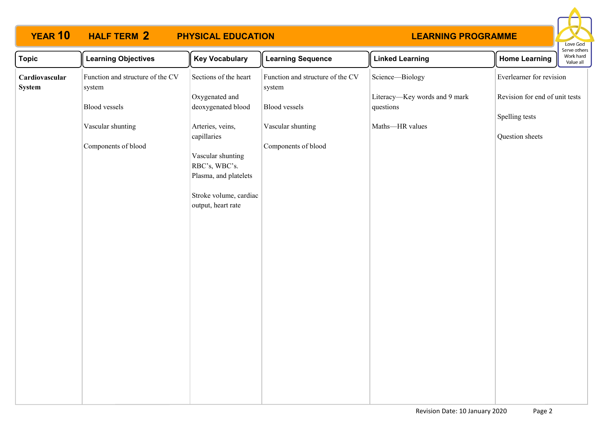#### **YEAR 10 HALF TERM 2 PHYSICAL EDUCATION HALF TERM 2**

## **LEARNING PROGRAMME**



| <b>Topic</b>             | <b>Learning Objectives</b>                 | <b>Key Vocabulary</b>                                                                                                      | <b>Learning Sequence</b>                   | <b>Linked Learning</b>                     | <b>Home Learning</b>           | Serve others<br>Work hard<br>Value all |
|--------------------------|--------------------------------------------|----------------------------------------------------------------------------------------------------------------------------|--------------------------------------------|--------------------------------------------|--------------------------------|----------------------------------------|
| Cardiovascular<br>System | Function and structure of the CV<br>system | Sections of the heart                                                                                                      | Function and structure of the CV<br>system | Science-Biology                            | Everlearner for revision       |                                        |
|                          | <b>Blood</b> vessels                       | Oxygenated and<br>deoxygenated blood                                                                                       | <b>Blood</b> vessels                       | Literacy-Key words and 9 mark<br>questions | Revision for end of unit tests |                                        |
|                          | Vascular shunting                          | Arteries, veins,                                                                                                           | Vascular shunting                          | Maths-HR values                            | Spelling tests                 |                                        |
|                          | Components of blood                        | capillaries<br>Vascular shunting<br>RBC's, WBC's.<br>Plasma, and platelets<br>Stroke volume, cardiac<br>output, heart rate | Components of blood                        |                                            | Question sheets                |                                        |
|                          |                                            |                                                                                                                            |                                            |                                            |                                |                                        |
|                          |                                            |                                                                                                                            |                                            |                                            |                                |                                        |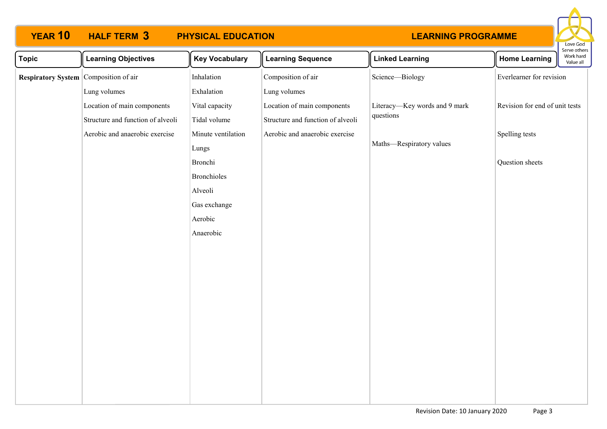#### **YEAR 10 HALF TERM 3 PHYSICAL EDUCATION HALF TERM 3**

### **LEARNING PROGRAMME**



| <b>Topic</b>                          | <b>Learning Objectives</b>        | <b>Key Vocabulary</b> | <b>Learning Sequence</b>          | <b>Linked Learning</b>        | <b>Home Learning</b>           | $-1$ , $-0$ , $-1$ , $-1$<br>Work hard<br>Value all |
|---------------------------------------|-----------------------------------|-----------------------|-----------------------------------|-------------------------------|--------------------------------|-----------------------------------------------------|
| Respiratory System Composition of air |                                   | Inhalation            | Composition of air                | Science-Biology               | Everlearner for revision       |                                                     |
|                                       | Lung volumes                      | Exhalation            | Lung volumes                      |                               |                                |                                                     |
|                                       | Location of main components       | Vital capacity        | Location of main components       | Literacy-Key words and 9 mark | Revision for end of unit tests |                                                     |
|                                       | Structure and function of alveoli | Tidal volume          | Structure and function of alveoli | questions                     |                                |                                                     |
|                                       | Aerobic and anaerobic exercise    | Minute ventilation    | Aerobic and anaerobic exercise    | Maths-Respiratory values      | Spelling tests                 |                                                     |
|                                       |                                   | Lungs                 |                                   |                               |                                |                                                     |
|                                       |                                   | Bronchi               |                                   |                               | Question sheets                |                                                     |
|                                       |                                   | <b>Bronchioles</b>    |                                   |                               |                                |                                                     |
|                                       |                                   | Alveoli               |                                   |                               |                                |                                                     |
|                                       |                                   | Gas exchange          |                                   |                               |                                |                                                     |
|                                       |                                   | Aerobic               |                                   |                               |                                |                                                     |
|                                       |                                   | Anaerobic             |                                   |                               |                                |                                                     |
|                                       |                                   |                       |                                   |                               |                                |                                                     |
|                                       |                                   |                       |                                   |                               |                                |                                                     |
|                                       |                                   |                       |                                   |                               |                                |                                                     |
|                                       |                                   |                       |                                   |                               |                                |                                                     |
|                                       |                                   |                       |                                   |                               |                                |                                                     |
|                                       |                                   |                       |                                   |                               |                                |                                                     |
|                                       |                                   |                       |                                   |                               |                                |                                                     |
|                                       |                                   |                       |                                   |                               |                                |                                                     |
|                                       |                                   |                       |                                   |                               |                                |                                                     |
|                                       |                                   |                       |                                   |                               |                                |                                                     |
|                                       |                                   |                       |                                   |                               |                                |                                                     |
|                                       |                                   |                       |                                   |                               |                                |                                                     |